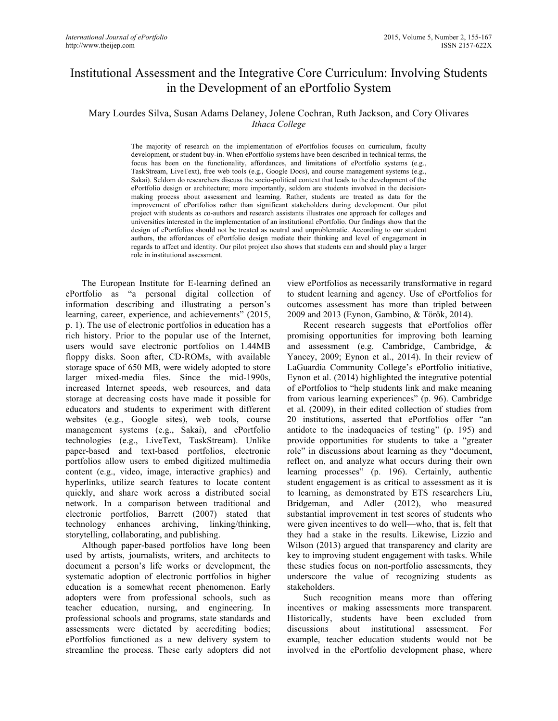# Institutional Assessment and the Integrative Core Curriculum: Involving Students in the Development of an ePortfolio System

## Mary Lourdes Silva, Susan Adams Delaney, Jolene Cochran, Ruth Jackson, and Cory Olivares *Ithaca College*

The majority of research on the implementation of ePortfolios focuses on curriculum, faculty development, or student buy-in. When ePortfolio systems have been described in technical terms, the focus has been on the functionality, affordances, and limitations of ePortfolio systems (e.g., TaskStream, LiveText), free web tools (e.g., Google Docs), and course management systems (e.g., Sakai). Seldom do researchers discuss the socio-political context that leads to the development of the ePortfolio design or architecture; more importantly, seldom are students involved in the decisionmaking process about assessment and learning. Rather, students are treated as data for the improvement of ePortfolios rather than significant stakeholders during development. Our pilot project with students as co-authors and research assistants illustrates one approach for colleges and universities interested in the implementation of an institutional ePortfolio. Our findings show that the design of ePortfolios should not be treated as neutral and unproblematic. According to our student authors, the affordances of ePortfolio design mediate their thinking and level of engagement in regards to affect and identity. Our pilot project also shows that students can and should play a larger role in institutional assessment.

The European Institute for E-learning defined an ePortfolio as "a personal digital collection of information describing and illustrating a person's learning, career, experience, and achievements" (2015, p. 1). The use of electronic portfolios in education has a rich history. Prior to the popular use of the Internet, users would save electronic portfolios on 1.44MB floppy disks. Soon after, CD-ROMs, with available storage space of 650 MB, were widely adopted to store larger mixed-media files. Since the mid-1990s, increased Internet speeds, web resources, and data storage at decreasing costs have made it possible for educators and students to experiment with different websites (e.g., Google sites), web tools, course management systems (e.g., Sakai), and ePortfolio technologies (e.g., LiveText, TaskStream). Unlike paper-based and text-based portfolios, electronic portfolios allow users to embed digitized multimedia content (e.g., video, image, interactive graphics) and hyperlinks, utilize search features to locate content quickly, and share work across a distributed social network. In a comparison between traditional and electronic portfolios, Barrett (2007) stated that technology enhances archiving, linking/thinking, storytelling, collaborating, and publishing.

Although paper-based portfolios have long been used by artists, journalists, writers, and architects to document a person's life works or development, the systematic adoption of electronic portfolios in higher education is a somewhat recent phenomenon. Early adopters were from professional schools, such as teacher education, nursing, and engineering. In professional schools and programs, state standards and assessments were dictated by accrediting bodies; ePortfolios functioned as a new delivery system to streamline the process. These early adopters did not

view ePortfolios as necessarily transformative in regard to student learning and agency. Use of ePortfolios for outcomes assessment has more than tripled between 2009 and 2013 (Eynon, Gambino, & Török, 2014).

Recent research suggests that ePortfolios offer promising opportunities for improving both learning and assessment (e.g. Cambridge, Cambridge, & Yancey, 2009; Eynon et al., 2014). In their review of LaGuardia Community College's ePortfolio initiative, Eynon et al. (2014) highlighted the integrative potential of ePortfolios to "help students link and make meaning from various learning experiences" (p. 96). Cambridge et al. (2009), in their edited collection of studies from 20 institutions, asserted that ePortfolios offer "an antidote to the inadequacies of testing" (p. 195) and provide opportunities for students to take a "greater role" in discussions about learning as they "document, reflect on, and analyze what occurs during their own learning processes" (p. 196). Certainly, authentic student engagement is as critical to assessment as it is to learning, as demonstrated by ETS researchers Liu, Bridgeman, and Adler (2012), who measured substantial improvement in test scores of students who were given incentives to do well—who, that is, felt that they had a stake in the results. Likewise, Lizzio and Wilson (2013) argued that transparency and clarity are key to improving student engagement with tasks. While these studies focus on non-portfolio assessments, they underscore the value of recognizing students as stakeholders.

Such recognition means more than offering incentives or making assessments more transparent. Historically, students have been excluded from discussions about institutional assessment. For example, teacher education students would not be involved in the ePortfolio development phase, where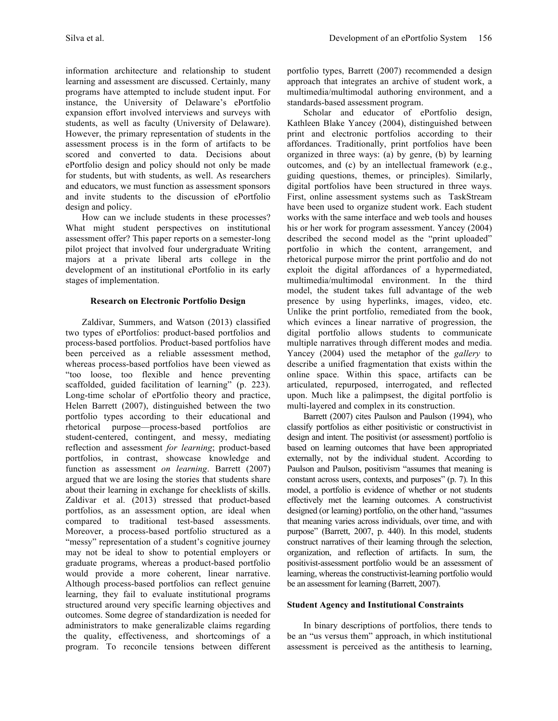information architecture and relationship to student learning and assessment are discussed. Certainly, many programs have attempted to include student input. For instance, the University of Delaware's ePortfolio expansion effort involved interviews and surveys with students, as well as faculty (University of Delaware). However, the primary representation of students in the assessment process is in the form of artifacts to be scored and converted to data. Decisions about ePortfolio design and policy should not only be made for students, but with students, as well. As researchers and educators, we must function as assessment sponsors and invite students to the discussion of ePortfolio design and policy.

How can we include students in these processes? What might student perspectives on institutional assessment offer? This paper reports on a semester-long pilot project that involved four undergraduate Writing majors at a private liberal arts college in the development of an institutional ePortfolio in its early stages of implementation.

## **Research on Electronic Portfolio Design**

Zaldivar, Summers, and Watson (2013) classified two types of ePortfolios: product-based portfolios and process-based portfolios. Product-based portfolios have been perceived as a reliable assessment method, whereas process-based portfolios have been viewed as "too loose, too flexible and hence preventing scaffolded, guided facilitation of learning" (p. 223). Long-time scholar of ePortfolio theory and practice, Helen Barrett (2007), distinguished between the two portfolio types according to their educational and rhetorical purpose—process-based portfolios are student-centered, contingent, and messy, mediating reflection and assessment *for learning*; product-based portfolios, in contrast, showcase knowledge and function as assessment *on learning*. Barrett (2007) argued that we are losing the stories that students share about their learning in exchange for checklists of skills. Zaldivar et al. (2013) stressed that product-based portfolios, as an assessment option, are ideal when compared to traditional test-based assessments. Moreover, a process-based portfolio structured as a "messy" representation of a student's cognitive journey may not be ideal to show to potential employers or graduate programs, whereas a product-based portfolio would provide a more coherent, linear narrative. Although process-based portfolios can reflect genuine learning, they fail to evaluate institutional programs structured around very specific learning objectives and outcomes. Some degree of standardization is needed for administrators to make generalizable claims regarding the quality, effectiveness, and shortcomings of a program. To reconcile tensions between different portfolio types, Barrett (2007) recommended a design approach that integrates an archive of student work, a multimedia/multimodal authoring environment, and a standards-based assessment program.

Scholar and educator of ePortfolio design, Kathleen Blake Yancey (2004), distinguished between print and electronic portfolios according to their affordances. Traditionally, print portfolios have been organized in three ways: (a) by genre, (b) by learning outcomes, and (c) by an intellectual framework (e.g., guiding questions, themes, or principles). Similarly, digital portfolios have been structured in three ways. First, online assessment systems such as TaskStream have been used to organize student work. Each student works with the same interface and web tools and houses his or her work for program assessment. Yancey (2004) described the second model as the "print uploaded" portfolio in which the content, arrangement, and rhetorical purpose mirror the print portfolio and do not exploit the digital affordances of a hypermediated, multimedia/multimodal environment. In the third model, the student takes full advantage of the web presence by using hyperlinks, images, video, etc. Unlike the print portfolio, remediated from the book, which evinces a linear narrative of progression, the digital portfolio allows students to communicate multiple narratives through different modes and media. Yancey (2004) used the metaphor of the *gallery* to describe a unified fragmentation that exists within the online space. Within this space, artifacts can be articulated, repurposed, interrogated, and reflected upon. Much like a palimpsest, the digital portfolio is multi-layered and complex in its construction.

Barrett (2007) cites Paulson and Paulson (1994), who classify portfolios as either positivistic or constructivist in design and intent. The positivist (or assessment) portfolio is based on learning outcomes that have been appropriated externally, not by the individual student. According to Paulson and Paulson, positivism "assumes that meaning is constant across users, contexts, and purposes" (p. 7). In this model, a portfolio is evidence of whether or not students effectively met the learning outcomes. A constructivist designed (or learning) portfolio, on the other hand, "assumes that meaning varies across individuals, over time, and with purpose" (Barrett, 2007, p. 440). In this model, students construct narratives of their learning through the selection, organization, and reflection of artifacts. In sum, the positivist-assessment portfolio would be an assessment of learning, whereas the constructivist-learning portfolio would be an assessment for learning (Barrett, 2007).

## **Student Agency and Institutional Constraints**

In binary descriptions of portfolios, there tends to be an "us versus them" approach, in which institutional assessment is perceived as the antithesis to learning,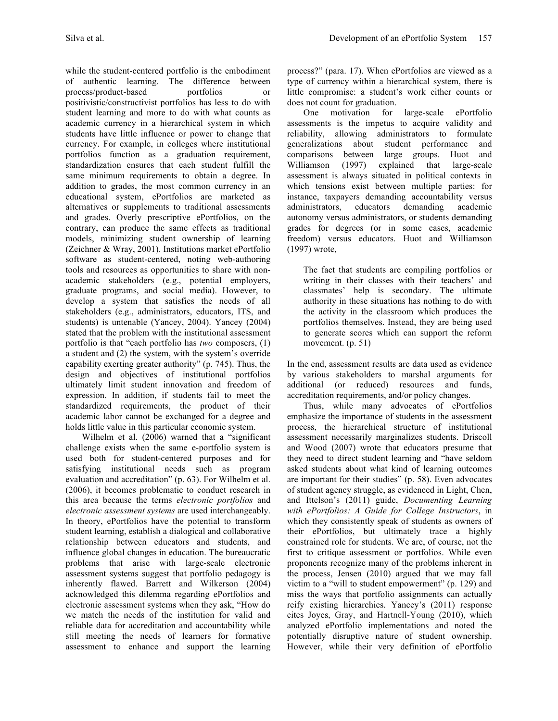while the student-centered portfolio is the embodiment of authentic learning. The difference between process/product-based portfolios or positivistic/constructivist portfolios has less to do with student learning and more to do with what counts as academic currency in a hierarchical system in which students have little influence or power to change that currency. For example, in colleges where institutional portfolios function as a graduation requirement, standardization ensures that each student fulfill the same minimum requirements to obtain a degree. In addition to grades, the most common currency in an educational system, ePortfolios are marketed as alternatives or supplements to traditional assessments and grades. Overly prescriptive ePortfolios, on the contrary, can produce the same effects as traditional models, minimizing student ownership of learning (Zeichner & Wray, 2001). Institutions market ePortfolio software as student-centered, noting web-authoring tools and resources as opportunities to share with nonacademic stakeholders (e.g., potential employers, graduate programs, and social media). However, to develop a system that satisfies the needs of all stakeholders (e.g., administrators, educators, ITS, and students) is untenable (Yancey, 2004). Yancey (2004) stated that the problem with the institutional assessment portfolio is that "each portfolio has *two* composers, (1) a student and (2) the system, with the system's override capability exerting greater authority" (p. 745). Thus, the design and objectives of institutional portfolios ultimately limit student innovation and freedom of expression. In addition, if students fail to meet the standardized requirements, the product of their academic labor cannot be exchanged for a degree and holds little value in this particular economic system.

Wilhelm et al. (2006) warned that a "significant challenge exists when the same e-portfolio system is used both for student-centered purposes and for satisfying institutional needs such as program evaluation and accreditation" (p. 63). For Wilhelm et al. (2006), it becomes problematic to conduct research in this area because the terms *electronic portfolios* and *electronic assessment systems* are used interchangeably. In theory, ePortfolios have the potential to transform student learning, establish a dialogical and collaborative relationship between educators and students, and influence global changes in education. The bureaucratic problems that arise with large-scale electronic assessment systems suggest that portfolio pedagogy is inherently flawed. Barrett and Wilkerson (2004) acknowledged this dilemma regarding ePortfolios and electronic assessment systems when they ask, "How do we match the needs of the institution for valid and reliable data for accreditation and accountability while still meeting the needs of learners for formative assessment to enhance and support the learning process?" (para. 17). When ePortfolios are viewed as a type of currency within a hierarchical system, there is little compromise: a student's work either counts or does not count for graduation.

One motivation for large-scale ePortfolio assessments is the impetus to acquire validity and reliability, allowing administrators to formulate generalizations about student performance and comparisons between large groups. Huot and Williamson (1997) explained that large-scale assessment is always situated in political contexts in which tensions exist between multiple parties: for instance, taxpayers demanding accountability versus administrators, educators demanding academic autonomy versus administrators, or students demanding grades for degrees (or in some cases, academic freedom) versus educators. Huot and Williamson (1997) wrote,

The fact that students are compiling portfolios or writing in their classes with their teachers' and classmates' help is secondary. The ultimate authority in these situations has nothing to do with the activity in the classroom which produces the portfolios themselves. Instead, they are being used to generate scores which can support the reform movement. (p. 51)

In the end, assessment results are data used as evidence by various stakeholders to marshal arguments for additional (or reduced) resources and funds, accreditation requirements, and/or policy changes.

Thus, while many advocates of ePortfolios emphasize the importance of students in the assessment process, the hierarchical structure of institutional assessment necessarily marginalizes students. Driscoll and Wood (2007) wrote that educators presume that they need to direct student learning and "have seldom asked students about what kind of learning outcomes are important for their studies" (p. 58). Even advocates of student agency struggle, as evidenced in Light, Chen, and Ittelson's (2011) guide, *Documenting Learning with ePortfolios: A Guide for College Instructors*, in which they consistently speak of students as owners of their ePortfolios, but ultimately trace a highly constrained role for students. We are, of course, not the first to critique assessment or portfolios. While even proponents recognize many of the problems inherent in the process, Jensen (2010) argued that we may fall victim to a "will to student empowerment" (p. 129) and miss the ways that portfolio assignments can actually reify existing hierarchies. Yancey's (2011) response cites Joyes, Gray, and Hartnell-Young (2010), which analyzed ePortfolio implementations and noted the potentially disruptive nature of student ownership. However, while their very definition of ePortfolio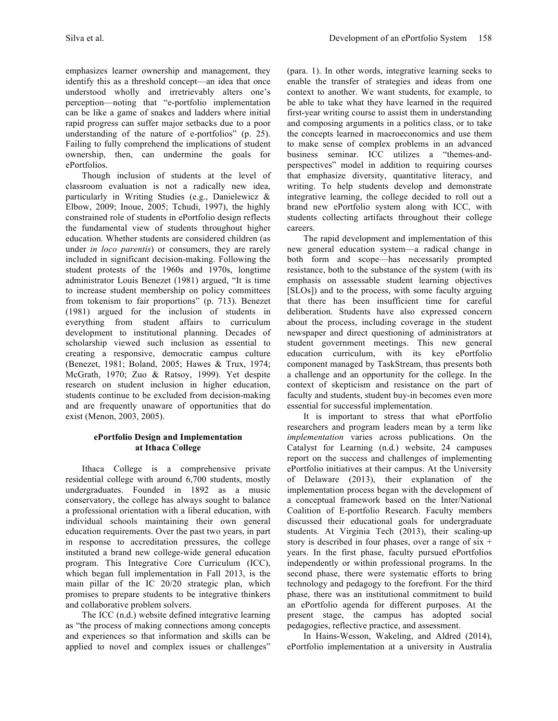emphasizes learner ownership and management, they identify this as a threshold concept—an idea that once understood wholly and irretrievably alters one's perception—noting that "e-portfolio implementation can be like a game of snakes and ladders where initial rapid progress can suffer major setbacks due to a poor understanding of the nature of e-portfolios" (p. 25). Failing to fully comprehend the implications of student ownership, then, can undermine the goals for ePortfolios.

Though inclusion of students at the level of classroom evaluation is not a radically new idea, particularly in Writing Studies (e.g., Danielewicz & Elbow, 2009; Inoue, 2005; Tchudi, 1997), the highly constrained role of students in ePortfolio design reflects the fundamental view of students throughout higher education. Whether students are considered children (as under *in loco parentis*) or consumers, they are rarely included in significant decision-making. Following the student protests of the 1960s and 1970s, longtime administrator Louis Benezet (1981) argued, "It is time to increase student membership on policy committees from tokenism to fair proportions" (p. 713). Benezet (1981) argued for the inclusion of students in everything from student affairs to curriculum development to institutional planning. Decades of scholarship viewed such inclusion as essential to creating a responsive, democratic campus culture (Benezet, 1981; Boland, 2005; Hawes & Trux, 1974; McGrath, 1970; Zuo & Ratsoy, 1999). Yet despite research on student inclusion in higher education, students continue to be excluded from decision-making and are frequently unaware of opportunities that do exist (Menon, 2003, 2005).

## **ePortfolio Design and Implementation at Ithaca College**

Ithaca College is a comprehensive private residential college with around 6,700 students, mostly undergraduates. Founded in 1892 as a music conservatory, the college has always sought to balance a professional orientation with a liberal education, with individual schools maintaining their own general education requirements. Over the past two years, in part in response to accreditation pressures, the college instituted a brand new college-wide general education program. This Integrative Core Curriculum (ICC), which began full implementation in Fall 2013, is the main pillar of the IC 20/20 strategic plan, which promises to prepare students to be integrative thinkers and collaborative problem solvers.

The ICC (n.d.) website defined integrative learning as "the process of making connections among concepts and experiences so that information and skills can be applied to novel and complex issues or challenges" (para. 1). In other words, integrative learning seeks to enable the transfer of strategies and ideas from one context to another. We want students, for example, to be able to take what they have learned in the required first-year writing course to assist them in understanding and composing arguments in a politics class, or to take the concepts learned in macroeconomics and use them to make sense of complex problems in an advanced business seminar. ICC utilizes a "themes-andperspectives" model in addition to requiring courses that emphasize diversity, quantitative literacy, and writing. To help students develop and demonstrate integrative learning, the college decided to roll out a brand new ePortfolio system along with ICC, with students collecting artifacts throughout their college careers.

The rapid development and implementation of this new general education system—a radical change in both form and scope—has necessarily prompted resistance, both to the substance of the system (with its emphasis on assessable student learning objectives [SLOs]) and to the process, with some faculty arguing that there has been insufficient time for careful deliberation. Students have also expressed concern about the process, including coverage in the student newspaper and direct questioning of administrators at student government meetings. This new general education curriculum, with its key ePortfolio component managed by TaskStream, thus presents both a challenge and an opportunity for the college. In the context of skepticism and resistance on the part of faculty and students, student buy-in becomes even more essential for successful implementation.

It is important to stress that what ePortfolio researchers and program leaders mean by a term like *implementation* varies across publications. On the Catalyst for Learning (n.d.) website, 24 campuses report on the success and challenges of implementing ePortfolio initiatives at their campus. At the University of Delaware (2013), their explanation of the implementation process began with the development of a conceptual framework based on the Inter/National Coalition of E-portfolio Research. Faculty members discussed their educational goals for undergraduate students. At Virginia Tech (2013), their scaling-up story is described in four phases, over a range of  $six +$ years. In the first phase, faculty pursued ePortfolios independently or within professional programs. In the second phase, there were systematic efforts to bring technology and pedagogy to the forefront. For the third phase, there was an institutional commitment to build an ePortfolio agenda for different purposes. At the present stage, the campus has adopted social pedagogies, reflective practice, and assessment.

In Hains-Wesson, Wakeling, and Aldred (2014), ePortfolio implementation at a university in Australia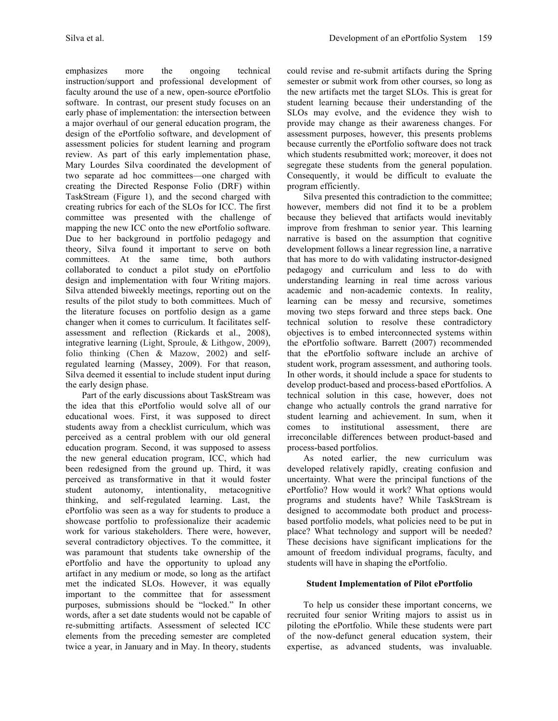emphasizes more the ongoing technical instruction/support and professional development of faculty around the use of a new, open-source ePortfolio software. In contrast, our present study focuses on an early phase of implementation: the intersection between a major overhaul of our general education program, the design of the ePortfolio software, and development of assessment policies for student learning and program review. As part of this early implementation phase, Mary Lourdes Silva coordinated the development of two separate ad hoc committees—one charged with creating the Directed Response Folio (DRF) within TaskStream (Figure 1), and the second charged with creating rubrics for each of the SLOs for ICC. The first committee was presented with the challenge of mapping the new ICC onto the new ePortfolio software. Due to her background in portfolio pedagogy and theory, Silva found it important to serve on both committees. At the same time, both authors collaborated to conduct a pilot study on ePortfolio design and implementation with four Writing majors. Silva attended biweekly meetings, reporting out on the results of the pilot study to both committees. Much of the literature focuses on portfolio design as a game changer when it comes to curriculum. It facilitates selfassessment and reflection (Rickards et al., 2008), integrative learning (Light, Sproule, & Lithgow, 2009), folio thinking (Chen & Mazow, 2002) and selfregulated learning (Massey, 2009). For that reason, Silva deemed it essential to include student input during the early design phase.

Part of the early discussions about TaskStream was the idea that this ePortfolio would solve all of our educational woes. First, it was supposed to direct students away from a checklist curriculum, which was perceived as a central problem with our old general education program. Second, it was supposed to assess the new general education program, ICC, which had been redesigned from the ground up. Third, it was perceived as transformative in that it would foster student autonomy, intentionality, metacognitive thinking, and self-regulated learning. Last, the ePortfolio was seen as a way for students to produce a showcase portfolio to professionalize their academic work for various stakeholders. There were, however, several contradictory objectives. To the committee, it was paramount that students take ownership of the ePortfolio and have the opportunity to upload any artifact in any medium or mode, so long as the artifact met the indicated SLOs. However, it was equally important to the committee that for assessment purposes, submissions should be "locked." In other words, after a set date students would not be capable of re-submitting artifacts. Assessment of selected ICC elements from the preceding semester are completed twice a year, in January and in May. In theory, students

could revise and re-submit artifacts during the Spring semester or submit work from other courses, so long as the new artifacts met the target SLOs. This is great for student learning because their understanding of the SLOs may evolve, and the evidence they wish to provide may change as their awareness changes. For assessment purposes, however, this presents problems because currently the ePortfolio software does not track which students resubmitted work; moreover, it does not segregate these students from the general population. Consequently, it would be difficult to evaluate the program efficiently.

Silva presented this contradiction to the committee; however, members did not find it to be a problem because they believed that artifacts would inevitably improve from freshman to senior year. This learning narrative is based on the assumption that cognitive development follows a linear regression line, a narrative that has more to do with validating instructor-designed pedagogy and curriculum and less to do with understanding learning in real time across various academic and non-academic contexts. In reality, learning can be messy and recursive, sometimes moving two steps forward and three steps back. One technical solution to resolve these contradictory objectives is to embed interconnected systems within the ePortfolio software. Barrett (2007) recommended that the ePortfolio software include an archive of student work, program assessment, and authoring tools. In other words, it should include a space for students to develop product-based and process-based ePortfolios. A technical solution in this case, however, does not change who actually controls the grand narrative for student learning and achievement. In sum, when it comes to institutional assessment, there are irreconcilable differences between product-based and process-based portfolios.

As noted earlier, the new curriculum was developed relatively rapidly, creating confusion and uncertainty. What were the principal functions of the ePortfolio? How would it work? What options would programs and students have? While TaskStream is designed to accommodate both product and processbased portfolio models, what policies need to be put in place? What technology and support will be needed? These decisions have significant implications for the amount of freedom individual programs, faculty, and students will have in shaping the ePortfolio.

## **Student Implementation of Pilot ePortfolio**

To help us consider these important concerns, we recruited four senior Writing majors to assist us in piloting the ePortfolio. While these students were part of the now-defunct general education system, their expertise, as advanced students, was invaluable.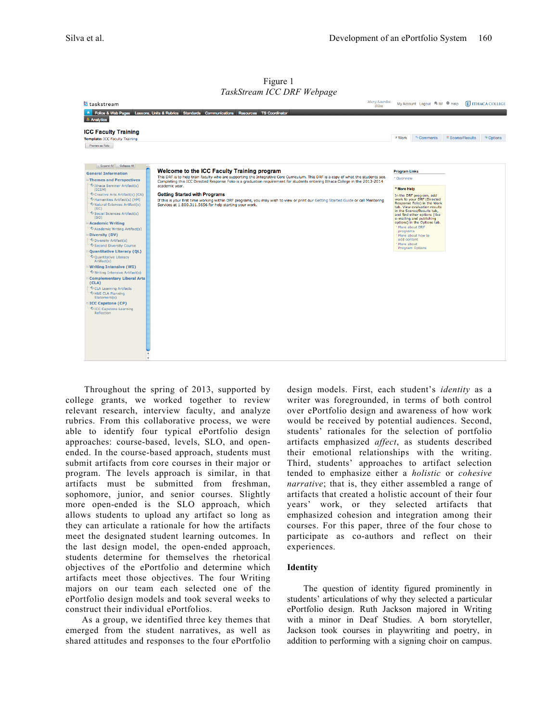|                                                                                                                                                                                                                                                                                                                                                                                                                                                                                                                                                                                                                                                                                                                                                             | $1$ abholically $1 \leq C$ Defines to $P\alpha_{\mathcal{S}}C$                                                                                                                                                                                                                                                                                                                                                                                                                                                                                                               |                                                                                                                           |                                                                                                                                                                                                                                                                                          |                             |                         |
|-------------------------------------------------------------------------------------------------------------------------------------------------------------------------------------------------------------------------------------------------------------------------------------------------------------------------------------------------------------------------------------------------------------------------------------------------------------------------------------------------------------------------------------------------------------------------------------------------------------------------------------------------------------------------------------------------------------------------------------------------------------|------------------------------------------------------------------------------------------------------------------------------------------------------------------------------------------------------------------------------------------------------------------------------------------------------------------------------------------------------------------------------------------------------------------------------------------------------------------------------------------------------------------------------------------------------------------------------|---------------------------------------------------------------------------------------------------------------------------|------------------------------------------------------------------------------------------------------------------------------------------------------------------------------------------------------------------------------------------------------------------------------------------|-----------------------------|-------------------------|
| taskstream                                                                                                                                                                                                                                                                                                                                                                                                                                                                                                                                                                                                                                                                                                                                                  | <b>Mary Lourdes</b><br>Silva                                                                                                                                                                                                                                                                                                                                                                                                                                                                                                                                                 |                                                                                                                           | My Account Logout & IM @ Help                                                                                                                                                                                                                                                            |                             | <b>C</b> ITHACA COLLEGE |
|                                                                                                                                                                                                                                                                                                                                                                                                                                                                                                                                                                                                                                                                                                                                                             | * Folios & Web Pages Lessons, Units & Rubrics Standards Communications Resources TS Coordinator                                                                                                                                                                                                                                                                                                                                                                                                                                                                              |                                                                                                                           |                                                                                                                                                                                                                                                                                          |                             |                         |
| $\triangleq$ Analytics                                                                                                                                                                                                                                                                                                                                                                                                                                                                                                                                                                                                                                                                                                                                      |                                                                                                                                                                                                                                                                                                                                                                                                                                                                                                                                                                              |                                                                                                                           |                                                                                                                                                                                                                                                                                          |                             |                         |
| <b>ICC Faculty Training</b>                                                                                                                                                                                                                                                                                                                                                                                                                                                                                                                                                                                                                                                                                                                                 |                                                                                                                                                                                                                                                                                                                                                                                                                                                                                                                                                                              |                                                                                                                           |                                                                                                                                                                                                                                                                                          |                             |                         |
| Template: ICC Faculty Training                                                                                                                                                                                                                                                                                                                                                                                                                                                                                                                                                                                                                                                                                                                              |                                                                                                                                                                                                                                                                                                                                                                                                                                                                                                                                                                              | <b>V</b> Work                                                                                                             | <sup>5</sup> Comments                                                                                                                                                                                                                                                                    | <sup>2</sup> Scores/Results | <sup>5</sup> Options    |
| Preview as Folio                                                                                                                                                                                                                                                                                                                                                                                                                                                                                                                                                                                                                                                                                                                                            |                                                                                                                                                                                                                                                                                                                                                                                                                                                                                                                                                                              |                                                                                                                           |                                                                                                                                                                                                                                                                                          |                             |                         |
| - Expand All<br>- Collapse All<br><b>General Information</b><br><b>Themes and Perspectives</b><br>Tthaca Seminar Artifact(s)<br>(ICSM)<br>Creative Arts Artifact(s) (CA)<br>Humanities Artifact(s) (HM)<br>Natural Sciences Artifact(s)<br>(SC)<br>Social Sciences Artifact(s)<br>(SO)<br><b>Academic Writing</b><br>Academic Writing Artifact(s)<br><b>Diversity (DV)</b><br>Oiversity Artifact(s)<br>Second Diversity Course<br><b>Quantitative Literacy (QL)</b><br>Quantitative Literacy<br>Artifact(s)<br><b>Writing Intensive (WI)</b><br>Writing Intensive Artifact(s)<br><b>Complementary Liberal Arts</b><br>(CLA)<br>CLA Learning Artifacts<br>H&S CLA Planning<br>Statement(s)<br>ICC Capstone (CP)<br>CC Capstone Learning<br><b>Reflection</b> | Welcome to the ICC Faculty Training program<br>This DRF is to help train faculty who are supporting the Integrative Core Curriculum. This DRF is a copy of what the students see.<br>Completing this ICC Directed Response Folio is a graduation requirement for students entering Ithaca College in the 2013-2014<br>academic year.<br><b>Getting Started with Programs</b><br>If this is your first time working within DRF programs, you may wish to view or print our Getting Started Guide or call Mentoring<br>Services at 1.800.311.5656 for help starting your work. | <b>Program Links</b><br>* Overview<br><sup>®</sup> More Help<br>* More about DRF<br>programs<br>add content<br>More about | In the DRF program, add<br>work to your DRF (Directed<br>Response Folio) in the Work<br>tab. View evaluation results<br>in the Scores/Results tab,<br>and find other options (like<br>e-mailing and publishing<br>options) in the Options tab.<br>* More about how to<br>Program Options |                             |                         |
|                                                                                                                                                                                                                                                                                                                                                                                                                                                                                                                                                                                                                                                                                                                                                             |                                                                                                                                                                                                                                                                                                                                                                                                                                                                                                                                                                              |                                                                                                                           |                                                                                                                                                                                                                                                                                          |                             |                         |
|                                                                                                                                                                                                                                                                                                                                                                                                                                                                                                                                                                                                                                                                                                                                                             |                                                                                                                                                                                                                                                                                                                                                                                                                                                                                                                                                                              |                                                                                                                           |                                                                                                                                                                                                                                                                                          |                             |                         |
|                                                                                                                                                                                                                                                                                                                                                                                                                                                                                                                                                                                                                                                                                                                                                             |                                                                                                                                                                                                                                                                                                                                                                                                                                                                                                                                                                              |                                                                                                                           |                                                                                                                                                                                                                                                                                          |                             |                         |

Figure 1 *TaskStream ICC DRF Webpage*

Throughout the spring of 2013, supported by college grants, we worked together to review relevant research, interview faculty, and analyze rubrics. From this collaborative process, we were able to identify four typical ePortfolio design approaches: course-based, levels, SLO, and openended. In the course-based approach, students must submit artifacts from core courses in their major or program. The levels approach is similar, in that artifacts must be submitted from freshman, sophomore, junior, and senior courses. Slightly more open-ended is the SLO approach, which allows students to upload any artifact so long as they can articulate a rationale for how the artifacts meet the designated student learning outcomes. In the last design model, the open-ended approach, students determine for themselves the rhetorical objectives of the ePortfolio and determine which artifacts meet those objectives. The four Writing majors on our team each selected one of the ePortfolio design models and took several weeks to construct their individual ePortfolios.

As a group, we identified three key themes that emerged from the student narratives, as well as shared attitudes and responses to the four ePortfolio

design models. First, each student's *identity* as a writer was foregrounded, in terms of both control over ePortfolio design and awareness of how work would be received by potential audiences. Second, students' rationales for the selection of portfolio artifacts emphasized *affect*, as students described their emotional relationships with the writing. Third, students' approaches to artifact selection tended to emphasize either a *holistic* or *cohesive narrative*; that is, they either assembled a range of artifacts that created a holistic account of their four years' work, or they selected artifacts that emphasized cohesion and integration among their courses. For this paper, three of the four chose to participate as co-authors and reflect on their experiences.

#### **Identity**

The question of identity figured prominently in students' articulations of why they selected a particular ePortfolio design. Ruth Jackson majored in Writing with a minor in Deaf Studies. A born storyteller, Jackson took courses in playwriting and poetry, in addition to performing with a signing choir on campus.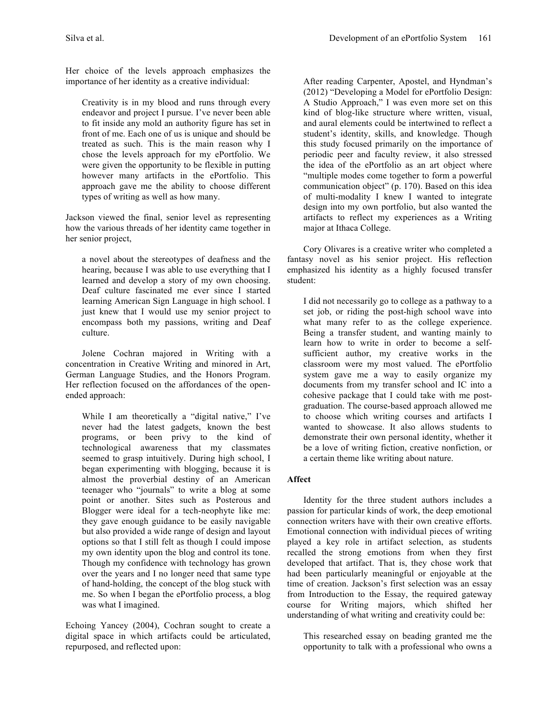Her choice of the levels approach emphasizes the importance of her identity as a creative individual:

Creativity is in my blood and runs through every endeavor and project I pursue. I've never been able to fit inside any mold an authority figure has set in front of me. Each one of us is unique and should be treated as such. This is the main reason why I chose the levels approach for my ePortfolio. We were given the opportunity to be flexible in putting however many artifacts in the ePortfolio. This approach gave me the ability to choose different types of writing as well as how many.

Jackson viewed the final, senior level as representing how the various threads of her identity came together in her senior project,

a novel about the stereotypes of deafness and the hearing, because I was able to use everything that I learned and develop a story of my own choosing. Deaf culture fascinated me ever since I started learning American Sign Language in high school. I just knew that I would use my senior project to encompass both my passions, writing and Deaf culture.

Jolene Cochran majored in Writing with a concentration in Creative Writing and minored in Art, German Language Studies, and the Honors Program. Her reflection focused on the affordances of the openended approach:

While I am theoretically a "digital native," I've never had the latest gadgets, known the best programs, or been privy to the kind of technological awareness that my classmates seemed to grasp intuitively. During high school, I began experimenting with blogging, because it is almost the proverbial destiny of an American teenager who "journals" to write a blog at some point or another. Sites such as Posterous and Blogger were ideal for a tech-neophyte like me: they gave enough guidance to be easily navigable but also provided a wide range of design and layout options so that I still felt as though I could impose my own identity upon the blog and control its tone. Though my confidence with technology has grown over the years and I no longer need that same type of hand-holding, the concept of the blog stuck with me. So when I began the ePortfolio process, a blog was what I imagined.

Echoing Yancey (2004), Cochran sought to create a digital space in which artifacts could be articulated, repurposed, and reflected upon:

After reading Carpenter, Apostel, and Hyndman's (2012) "Developing a Model for ePortfolio Design: A Studio Approach," I was even more set on this kind of blog-like structure where written, visual, and aural elements could be intertwined to reflect a student's identity, skills, and knowledge. Though this study focused primarily on the importance of periodic peer and faculty review, it also stressed the idea of the ePortfolio as an art object where "multiple modes come together to form a powerful communication object" (p. 170). Based on this idea of multi-modality I knew I wanted to integrate design into my own portfolio, but also wanted the artifacts to reflect my experiences as a Writing major at Ithaca College.

Cory Olivares is a creative writer who completed a fantasy novel as his senior project. His reflection emphasized his identity as a highly focused transfer student:

I did not necessarily go to college as a pathway to a set job, or riding the post-high school wave into what many refer to as the college experience. Being a transfer student, and wanting mainly to learn how to write in order to become a selfsufficient author, my creative works in the classroom were my most valued. The ePortfolio system gave me a way to easily organize my documents from my transfer school and IC into a cohesive package that I could take with me postgraduation. The course-based approach allowed me to choose which writing courses and artifacts I wanted to showcase. It also allows students to demonstrate their own personal identity, whether it be a love of writing fiction, creative nonfiction, or a certain theme like writing about nature.

## **Affect**

Identity for the three student authors includes a passion for particular kinds of work, the deep emotional connection writers have with their own creative efforts. Emotional connection with individual pieces of writing played a key role in artifact selection, as students recalled the strong emotions from when they first developed that artifact. That is, they chose work that had been particularly meaningful or enjoyable at the time of creation. Jackson's first selection was an essay from Introduction to the Essay, the required gateway course for Writing majors, which shifted her understanding of what writing and creativity could be:

This researched essay on beading granted me the opportunity to talk with a professional who owns a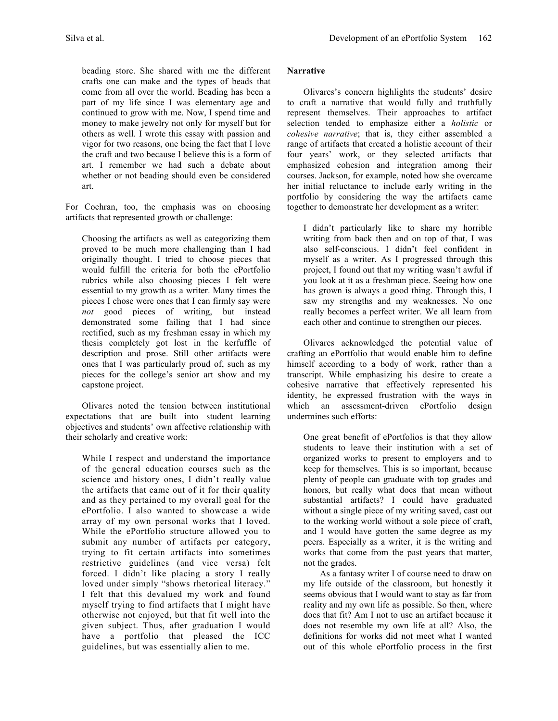beading store. She shared with me the different crafts one can make and the types of beads that come from all over the world. Beading has been a part of my life since I was elementary age and continued to grow with me. Now, I spend time and money to make jewelry not only for myself but for others as well. I wrote this essay with passion and vigor for two reasons, one being the fact that I love the craft and two because I believe this is a form of art. I remember we had such a debate about whether or not beading should even be considered art.

For Cochran, too, the emphasis was on choosing artifacts that represented growth or challenge:

Choosing the artifacts as well as categorizing them proved to be much more challenging than I had originally thought. I tried to choose pieces that would fulfill the criteria for both the ePortfolio rubrics while also choosing pieces I felt were essential to my growth as a writer. Many times the pieces I chose were ones that I can firmly say were *not* good pieces of writing, but instead demonstrated some failing that I had since rectified, such as my freshman essay in which my thesis completely got lost in the kerfuffle of description and prose. Still other artifacts were ones that I was particularly proud of, such as my pieces for the college's senior art show and my capstone project.

Olivares noted the tension between institutional expectations that are built into student learning objectives and students' own affective relationship with their scholarly and creative work:

While I respect and understand the importance of the general education courses such as the science and history ones, I didn't really value the artifacts that came out of it for their quality and as they pertained to my overall goal for the ePortfolio. I also wanted to showcase a wide array of my own personal works that I loved. While the ePortfolio structure allowed you to submit any number of artifacts per category, trying to fit certain artifacts into sometimes restrictive guidelines (and vice versa) felt forced. I didn't like placing a story I really loved under simply "shows rhetorical literacy." I felt that this devalued my work and found myself trying to find artifacts that I might have otherwise not enjoyed, but that fit well into the given subject. Thus, after graduation I would have a portfolio that pleased the ICC guidelines, but was essentially alien to me.

# **Narrative**

Olivares's concern highlights the students' desire to craft a narrative that would fully and truthfully represent themselves. Their approaches to artifact selection tended to emphasize either a *holistic* or *cohesive narrative*; that is, they either assembled a range of artifacts that created a holistic account of their four years' work, or they selected artifacts that emphasized cohesion and integration among their courses. Jackson, for example, noted how she overcame her initial reluctance to include early writing in the portfolio by considering the way the artifacts came together to demonstrate her development as a writer:

I didn't particularly like to share my horrible writing from back then and on top of that, I was also self-conscious. I didn't feel confident in myself as a writer. As I progressed through this project, I found out that my writing wasn't awful if you look at it as a freshman piece. Seeing how one has grown is always a good thing. Through this, I saw my strengths and my weaknesses. No one really becomes a perfect writer. We all learn from each other and continue to strengthen our pieces.

Olivares acknowledged the potential value of crafting an ePortfolio that would enable him to define himself according to a body of work, rather than a transcript. While emphasizing his desire to create a cohesive narrative that effectively represented his identity, he expressed frustration with the ways in which an assessment-driven ePortfolio design undermines such efforts:

One great benefit of ePortfolios is that they allow students to leave their institution with a set of organized works to present to employers and to keep for themselves. This is so important, because plenty of people can graduate with top grades and honors, but really what does that mean without substantial artifacts? I could have graduated without a single piece of my writing saved, cast out to the working world without a sole piece of craft, and I would have gotten the same degree as my peers. Especially as a writer, it is the writing and works that come from the past years that matter, not the grades.

As a fantasy writer I of course need to draw on my life outside of the classroom, but honestly it seems obvious that I would want to stay as far from reality and my own life as possible. So then, where does that fit? Am I not to use an artifact because it does not resemble my own life at all? Also, the definitions for works did not meet what I wanted out of this whole ePortfolio process in the first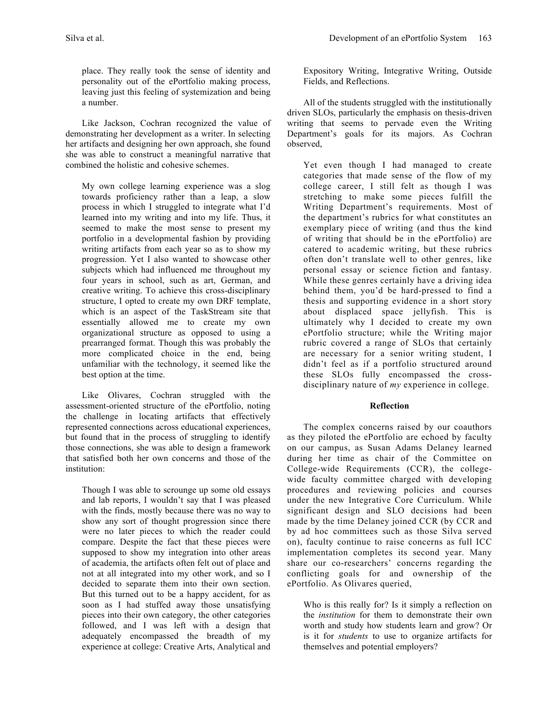place. They really took the sense of identity and personality out of the ePortfolio making process, leaving just this feeling of systemization and being a number.

Like Jackson, Cochran recognized the value of demonstrating her development as a writer. In selecting her artifacts and designing her own approach, she found she was able to construct a meaningful narrative that combined the holistic and cohesive schemes.

My own college learning experience was a slog towards proficiency rather than a leap, a slow process in which I struggled to integrate what I'd learned into my writing and into my life. Thus, it seemed to make the most sense to present my portfolio in a developmental fashion by providing writing artifacts from each year so as to show my progression. Yet I also wanted to showcase other subjects which had influenced me throughout my four years in school, such as art, German, and creative writing. To achieve this cross-disciplinary structure, I opted to create my own DRF template, which is an aspect of the TaskStream site that essentially allowed me to create my own organizational structure as opposed to using a prearranged format. Though this was probably the more complicated choice in the end, being unfamiliar with the technology, it seemed like the best option at the time.

Like Olivares, Cochran struggled with the assessment-oriented structure of the ePortfolio, noting the challenge in locating artifacts that effectively represented connections across educational experiences, but found that in the process of struggling to identify those connections, she was able to design a framework that satisfied both her own concerns and those of the institution:

Though I was able to scrounge up some old essays and lab reports, I wouldn't say that I was pleased with the finds, mostly because there was no way to show any sort of thought progression since there were no later pieces to which the reader could compare. Despite the fact that these pieces were supposed to show my integration into other areas of academia, the artifacts often felt out of place and not at all integrated into my other work, and so I decided to separate them into their own section. But this turned out to be a happy accident, for as soon as I had stuffed away those unsatisfying pieces into their own category, the other categories followed, and I was left with a design that adequately encompassed the breadth of my experience at college: Creative Arts, Analytical and Expository Writing, Integrative Writing, Outside Fields, and Reflections.

All of the students struggled with the institutionally driven SLOs, particularly the emphasis on thesis-driven writing that seems to pervade even the Writing Department's goals for its majors. As Cochran observed,

Yet even though I had managed to create categories that made sense of the flow of my college career, I still felt as though I was stretching to make some pieces fulfill the Writing Department's requirements. Most of the department's rubrics for what constitutes an exemplary piece of writing (and thus the kind of writing that should be in the ePortfolio) are catered to academic writing, but these rubrics often don't translate well to other genres, like personal essay or science fiction and fantasy. While these genres certainly have a driving idea behind them, you'd be hard-pressed to find a thesis and supporting evidence in a short story about displaced space jellyfish. This is ultimately why I decided to create my own ePortfolio structure; while the Writing major rubric covered a range of SLOs that certainly are necessary for a senior writing student, I didn't feel as if a portfolio structured around these SLOs fully encompassed the crossdisciplinary nature of *my* experience in college.

## **Reflection**

The complex concerns raised by our coauthors as they piloted the ePortfolio are echoed by faculty on our campus, as Susan Adams Delaney learned during her time as chair of the Committee on College-wide Requirements (CCR), the collegewide faculty committee charged with developing procedures and reviewing policies and courses under the new Integrative Core Curriculum. While significant design and SLO decisions had been made by the time Delaney joined CCR (by CCR and by ad hoc committees such as those Silva served on), faculty continue to raise concerns as full ICC implementation completes its second year. Many share our co-researchers' concerns regarding the conflicting goals for and ownership of the ePortfolio. As Olivares queried,

Who is this really for? Is it simply a reflection on the *institution* for them to demonstrate their own worth and study how students learn and grow? Or is it for *students* to use to organize artifacts for themselves and potential employers?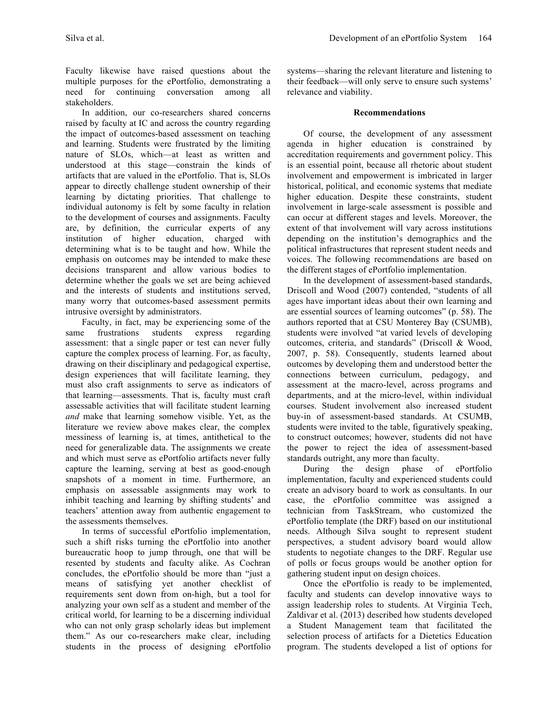Faculty likewise have raised questions about the multiple purposes for the ePortfolio, demonstrating a need for continuing conversation among all stakeholders.

In addition, our co-researchers shared concerns raised by faculty at IC and across the country regarding the impact of outcomes-based assessment on teaching and learning. Students were frustrated by the limiting nature of SLOs, which—at least as written and understood at this stage—constrain the kinds of artifacts that are valued in the ePortfolio. That is, SLOs appear to directly challenge student ownership of their learning by dictating priorities. That challenge to individual autonomy is felt by some faculty in relation to the development of courses and assignments. Faculty are, by definition, the curricular experts of any institution of higher education, charged with determining what is to be taught and how. While the emphasis on outcomes may be intended to make these decisions transparent and allow various bodies to determine whether the goals we set are being achieved and the interests of students and institutions served, many worry that outcomes-based assessment permits intrusive oversight by administrators.

Faculty, in fact, may be experiencing some of the same frustrations students express regarding assessment: that a single paper or test can never fully capture the complex process of learning. For, as faculty, drawing on their disciplinary and pedagogical expertise, design experiences that will facilitate learning, they must also craft assignments to serve as indicators of that learning—assessments. That is, faculty must craft assessable activities that will facilitate student learning *and* make that learning somehow visible. Yet, as the literature we review above makes clear, the complex messiness of learning is, at times, antithetical to the need for generalizable data. The assignments we create and which must serve as ePortfolio artifacts never fully capture the learning, serving at best as good-enough snapshots of a moment in time. Furthermore, an emphasis on assessable assignments may work to inhibit teaching and learning by shifting students' and teachers' attention away from authentic engagement to the assessments themselves.

In terms of successful ePortfolio implementation, such a shift risks turning the ePortfolio into another bureaucratic hoop to jump through, one that will be resented by students and faculty alike. As Cochran concludes, the ePortfolio should be more than "just a means of satisfying yet another checklist of requirements sent down from on-high, but a tool for analyzing your own self as a student and member of the critical world, for learning to be a discerning individual who can not only grasp scholarly ideas but implement them." As our co-researchers make clear, including students in the process of designing ePortfolio

systems—sharing the relevant literature and listening to their feedback—will only serve to ensure such systems' relevance and viability.

## **Recommendations**

Of course, the development of any assessment agenda in higher education is constrained by accreditation requirements and government policy. This is an essential point, because all rhetoric about student involvement and empowerment is imbricated in larger historical, political, and economic systems that mediate higher education. Despite these constraints, student involvement in large-scale assessment is possible and can occur at different stages and levels. Moreover, the extent of that involvement will vary across institutions depending on the institution's demographics and the political infrastructures that represent student needs and voices. The following recommendations are based on the different stages of ePortfolio implementation.

In the development of assessment-based standards, Driscoll and Wood (2007) contended, "students of all ages have important ideas about their own learning and are essential sources of learning outcomes" (p. 58). The authors reported that at CSU Monterey Bay (CSUMB), students were involved "at varied levels of developing outcomes, criteria, and standards" (Driscoll & Wood, 2007, p. 58). Consequently, students learned about outcomes by developing them and understood better the connections between curriculum, pedagogy, and assessment at the macro-level, across programs and departments, and at the micro-level, within individual courses. Student involvement also increased student buy-in of assessment-based standards. At CSUMB, students were invited to the table, figuratively speaking, to construct outcomes; however, students did not have the power to reject the idea of assessment-based standards outright, any more than faculty.

During the design phase of ePortfolio implementation, faculty and experienced students could create an advisory board to work as consultants. In our case, the ePortfolio committee was assigned a technician from TaskStream, who customized the ePortfolio template (the DRF) based on our institutional needs. Although Silva sought to represent student perspectives, a student advisory board would allow students to negotiate changes to the DRF. Regular use of polls or focus groups would be another option for gathering student input on design choices.

Once the ePortfolio is ready to be implemented, faculty and students can develop innovative ways to assign leadership roles to students. At Virginia Tech, Zaldivar et al. (2013) described how students developed a Student Management team that facilitated the selection process of artifacts for a Dietetics Education program. The students developed a list of options for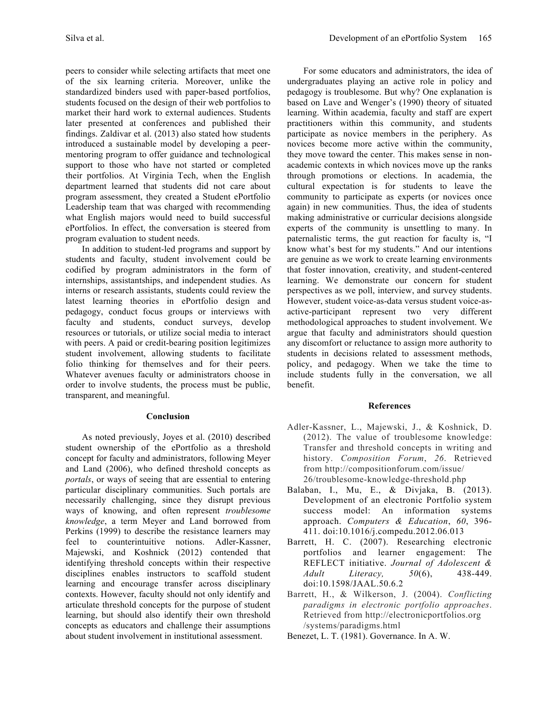peers to consider while selecting artifacts that meet one of the six learning criteria. Moreover, unlike the standardized binders used with paper-based portfolios, students focused on the design of their web portfolios to market their hard work to external audiences. Students later presented at conferences and published their findings. Zaldivar et al. (2013) also stated how students introduced a sustainable model by developing a peermentoring program to offer guidance and technological support to those who have not started or completed their portfolios. At Virginia Tech, when the English department learned that students did not care about program assessment, they created a Student ePortfolio Leadership team that was charged with recommending what English majors would need to build successful ePortfolios. In effect, the conversation is steered from program evaluation to student needs.

In addition to student-led programs and support by students and faculty, student involvement could be codified by program administrators in the form of internships, assistantships, and independent studies. As interns or research assistants, students could review the latest learning theories in ePortfolio design and pedagogy, conduct focus groups or interviews with faculty and students, conduct surveys, develop resources or tutorials, or utilize social media to interact with peers. A paid or credit-bearing position legitimizes student involvement, allowing students to facilitate folio thinking for themselves and for their peers. Whatever avenues faculty or administrators choose in order to involve students, the process must be public, transparent, and meaningful.

#### **Conclusion**

As noted previously, Joyes et al. (2010) described student ownership of the ePortfolio as a threshold concept for faculty and administrators, following Meyer and Land (2006), who defined threshold concepts as *portals*, or ways of seeing that are essential to entering particular disciplinary communities. Such portals are necessarily challenging, since they disrupt previous ways of knowing, and often represent *troublesome knowledge*, a term Meyer and Land borrowed from Perkins (1999) to describe the resistance learners may feel to counterintuitive notions. Adler-Kassner, Majewski, and Koshnick (2012) contended that identifying threshold concepts within their respective disciplines enables instructors to scaffold student learning and encourage transfer across disciplinary contexts. However, faculty should not only identify and articulate threshold concepts for the purpose of student learning, but should also identify their own threshold concepts as educators and challenge their assumptions about student involvement in institutional assessment.

For some educators and administrators, the idea of undergraduates playing an active role in policy and pedagogy is troublesome. But why? One explanation is based on Lave and Wenger's (1990) theory of situated learning. Within academia, faculty and staff are expert practitioners within this community, and students participate as novice members in the periphery. As novices become more active within the community, they move toward the center. This makes sense in nonacademic contexts in which novices move up the ranks through promotions or elections. In academia, the cultural expectation is for students to leave the community to participate as experts (or novices once again) in new communities. Thus, the idea of students making administrative or curricular decisions alongside experts of the community is unsettling to many. In paternalistic terms, the gut reaction for faculty is, "I know what's best for my students." And our intentions are genuine as we work to create learning environments that foster innovation, creativity, and student-centered learning. We demonstrate our concern for student perspectives as we poll, interview, and survey students. However, student voice-as-data versus student voice-asactive-participant represent two very different methodological approaches to student involvement. We argue that faculty and administrators should question any discomfort or reluctance to assign more authority to students in decisions related to assessment methods, policy, and pedagogy. When we take the time to include students fully in the conversation, we all benefit.

#### **References**

- Adler-Kassner, L., Majewski, J., & Koshnick, D. (2012). The value of troublesome knowledge: Transfer and threshold concepts in writing and history. *Composition Forum*, *26*. Retrieved from http://compositionforum.com/issue/ 26/troublesome-knowledge-threshold.php
- Balaban, I., Mu, E., & Divjaka, B. (2013). Development of an electronic Portfolio system success model: An information systems approach. *Computers & Education*, *60*, 396- 411. doi:10.1016/j.compedu.2012.06.013
- Barrett, H. C. (2007). Researching electronic portfolios and learner engagement: The REFLECT initiative. *Journal of Adolescent & Adult Literacy, 50*(6), 438-449. doi:10.1598/JAAL.50.6.2
- Barrett, H., & Wilkerson, J. (2004). *Conflicting paradigms in electronic portfolio approaches*. Retrieved from http://electronicportfolios.org /systems/paradigms.html
- Benezet, L. T. (1981). Governance. In A. W.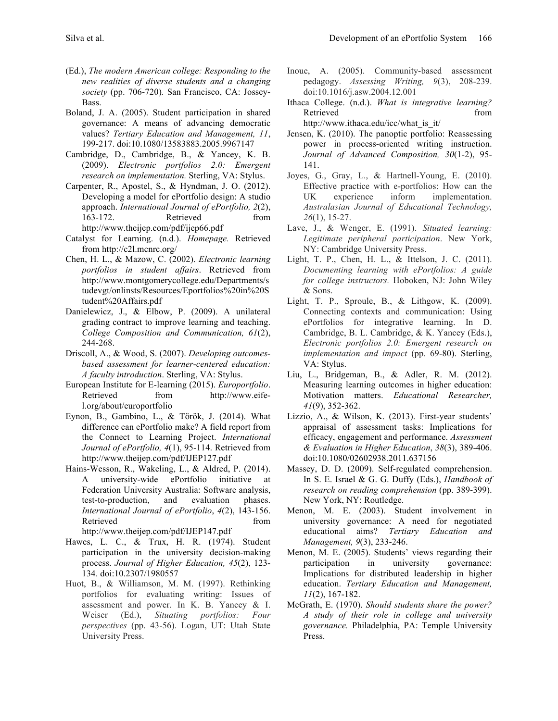- (Ed.), *The modern American college: Responding to the new realities of diverse students and a changing society* (pp. 706-720)*.* San Francisco, CA: Jossey-Bass.
- Boland, J. A. (2005). Student participation in shared governance: A means of advancing democratic values? *Tertiary Education and Management, 11*, 199-217. doi:10.1080/13583883.2005.9967147
- Cambridge, D., Cambridge, B., & Yancey, K. B. (2009). *Electronic portfolios 2.0: Emergent research on implementation.* Sterling, VA: Stylus.
- Carpenter, R., Apostel, S., & Hyndman, J. O. (2012). Developing a model for ePortfolio design: A studio approach. *International Journal of ePortfolio, 2*(2), 163-172. Retrieved from http://www.theijep.com/pdf/ijep66.pdf
- Catalyst for Learning. (n.d.). *Homepage.* Retrieved from http://c2l.mcnrc.org/
- Chen, H. L., & Mazow, C. (2002). *Electronic learning portfolios in student affairs*. Retrieved from http://www.montgomerycollege.edu/Departments/s tudevgt/onlinsts/Resources/Eportfolios%20in%20S tudent%20Affairs.pdf
- Danielewicz, J., & Elbow, P. (2009). A unilateral grading contract to improve learning and teaching. *College Composition and Communication, 61*(2), 244-268.
- Driscoll, A., & Wood, S. (2007). *Developing outcomesbased assessment for learner-centered education: A faculty introduction*. Sterling, VA: Stylus.
- European Institute for E-learning (2015). *Europortfolio*. Retrieved from http://www.eifel.org/about/europortfolio
- Eynon, B., Gambino, L., & Török, J. (2014). What difference can ePortfolio make? A field report from the Connect to Learning Project. *International Journal of ePortfolio, 4*(1), 95-114. Retrieved from http://www.theijep.com/pdf/IJEP127.pdf
- Hains-Wesson, R., Wakeling, L., & Aldred, P. (2014). A university-wide ePortfolio initiative at Federation University Australia: Software analysis, test-to-production, and evaluation phases. *International Journal of ePortfolio*, *4*(2), 143-156. Retrieved from the state of  $\sim$ http://www.theijep.com/pdf/IJEP147.pdf
- Hawes, L. C., & Trux, H. R. (1974). Student participation in the university decision-making process. *Journal of Higher Education, 45*(2), 123- 134. doi:10.2307/1980557
- Huot, B., & Williamson, M. M. (1997). Rethinking portfolios for evaluating writing: Issues of assessment and power. In K. B. Yancey & I. Weiser (Ed.), *Situating portfolios: Four perspectives* (pp. 43-56). Logan, UT: Utah State University Press.
- Inoue, A. (2005). Community-based assessment pedagogy. *Assessing Writing, 9*(3), 208-239. doi:10.1016/j.asw.2004.12.001
- Ithaca College. (n.d.). *What is integrative learning?* Retrieved from the state of the state of the state of the state of the state of the state of the state of the state of the state of the state of the state of the state of the state of the state of the state of the state of http://www.ithaca.edu/icc/what\_is\_it/
- Jensen, K. (2010). The panoptic portfolio: Reassessing power in process-oriented writing instruction. *Journal of Advanced Composition, 30*(1-2), 95- 141.
- Joyes, G., Gray, L., & Hartnell-Young, E. (2010). Effective practice with e-portfolios: How can the UK experience inform implementation. *Australasian Journal of Educational Technology, 26*(1), 15-27.
- Lave, J., & Wenger, E. (1991). *Situated learning: Legitimate peripheral participation*. New York, NY: Cambridge University Press.
- Light, T. P., Chen, H. L., & Ittelson, J. C. (2011). *Documenting learning with ePortfolios: A guide for college instructors.* Hoboken, NJ: John Wiley & Sons.
- Light, T. P., Sproule, B., & Lithgow, K. (2009). Connecting contexts and communication: Using ePortfolios for integrative learning. In D. Cambridge, B. L. Cambridge, & K. Yancey (Eds.), *Electronic portfolios 2.0: Emergent research on implementation and impact* (pp. 69-80). Sterling, VA: Stylus.
- Liu, L., Bridgeman, B., & Adler, R. M. (2012). Measuring learning outcomes in higher education: Motivation matters. *Educational Researcher, 41*(9), 352-362.
- Lizzio, A., & Wilson, K. (2013). First-year students' appraisal of assessment tasks: Implications for efficacy, engagement and performance. *Assessment & Evaluation in Higher Education*, *38*(3), 389-406. doi:10.1080/02602938.2011.637156
- Massey, D. D. (2009). Self-regulated comprehension. In S. E. Israel & G. G. Duffy (Eds.), *Handbook of research on reading comprehension* (pp. 389-399). New York, NY: Routledge.
- Menon, M. E. (2003). Student involvement in university governance: A need for negotiated educational aims? *Tertiary Education and Management, 9*(3), 233-246.
- Menon, M. E. (2005). Students' views regarding their participation in university governance: Implications for distributed leadership in higher education. *Tertiary Education and Management, 11*(2), 167-182.
- McGrath, E. (1970). *Should students share the power? A study of their role in college and university governance.* Philadelphia, PA: Temple University Press.